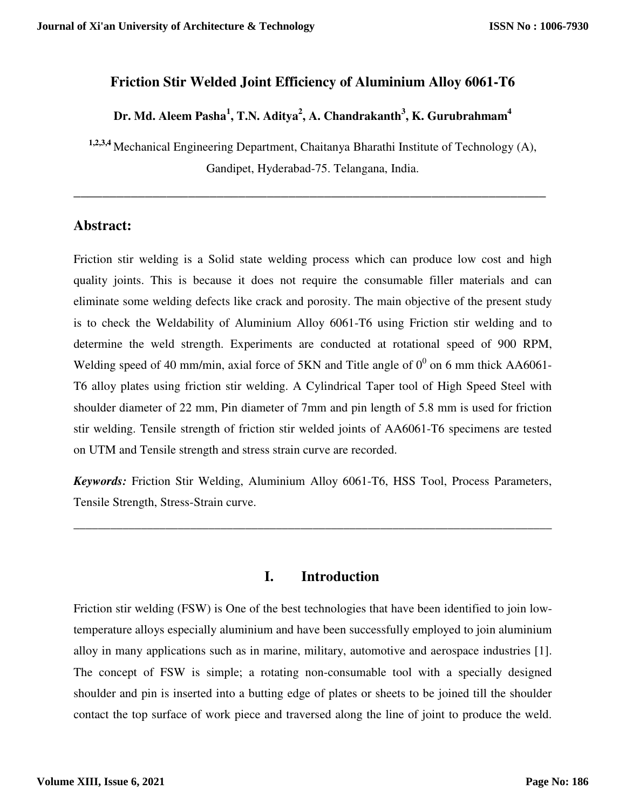### **Friction Stir Welded Joint Efficiency of Aluminium Alloy 6061-T6**

# **Dr. Md. Aleem Pasha<sup>1</sup> , T.N. Aditya<sup>2</sup> , A. Chandrakanth<sup>3</sup> , K. Gurubrahmam<sup>4</sup>**

**1,2,3,4** Mechanical Engineering Department, Chaitanya Bharathi Institute of Technology (A), Gandipet, Hyderabad-75. Telangana, India.

**\_\_\_\_\_\_\_\_\_\_\_\_\_\_\_\_\_\_\_\_\_\_\_\_\_\_\_\_\_\_\_\_\_\_\_\_\_\_\_\_\_\_\_\_\_\_\_\_\_\_\_\_\_\_\_\_\_\_\_\_\_\_\_\_\_\_** 

# **Abstract:**

Friction stir welding is a Solid state welding process which can produce low cost and high quality joints. This is because it does not require the consumable filler materials and can eliminate some welding defects like crack and porosity. The main objective of the present study is to check the Weldability of Aluminium Alloy 6061-T6 using Friction stir welding and to determine the weld strength. Experiments are conducted at rotational speed of 900 RPM, Welding speed of 40 mm/min, axial force of 5KN and Title angle of  $0^0$  on 6 mm thick AA6061-T6 alloy plates using friction stir welding. A Cylindrical Taper tool of High Speed Steel with shoulder diameter of 22 mm, Pin diameter of 7mm and pin length of 5.8 mm is used for friction stir welding. Tensile strength of friction stir welded joints of AA6061-T6 specimens are tested on UTM and Tensile strength and stress strain curve are recorded.

*Keywords:* Friction Stir Welding, Aluminium Alloy 6061-T6, HSS Tool, Process Parameters, Tensile Strength, Stress-Strain curve.

\_\_\_\_\_\_\_\_\_\_\_\_\_\_\_\_\_\_\_\_\_\_\_\_\_\_\_\_\_\_\_\_\_\_\_\_\_\_\_\_\_\_\_\_\_\_\_\_\_\_\_\_\_\_\_\_\_\_\_\_\_\_\_\_\_\_\_\_\_\_\_\_\_\_\_\_\_\_

# **I. Introduction**

Friction stir welding (FSW) is One of the best technologies that have been identified to join lowtemperature alloys especially aluminium and have been successfully employed to join aluminium alloy in many applications such as in marine, military, automotive and aerospace industries [1]. The concept of FSW is simple; a rotating non-consumable tool with a specially designed shoulder and pin is inserted into a butting edge of plates or sheets to be joined till the shoulder contact the top surface of work piece and traversed along the line of joint to produce the weld.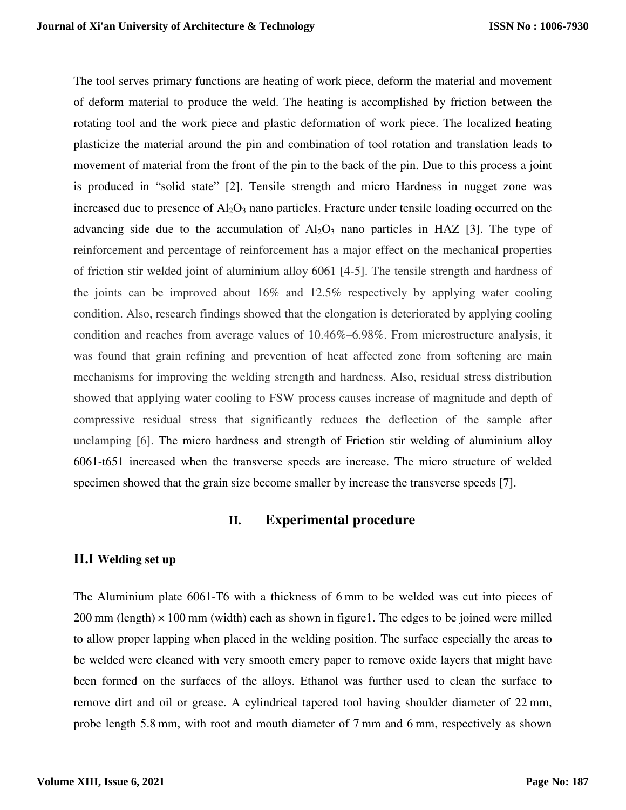The tool serves primary functions are heating of work piece, deform the material and movement of deform material to produce the weld. The heating is accomplished by friction between the rotating tool and the work piece and plastic deformation of work piece. The localized heating plasticize the material around the pin and combination of tool rotation and translation leads to movement of material from the front of the pin to the back of the pin. Due to this process a joint is produced in "solid state" [2]. Tensile strength and micro Hardness in nugget zone was increased due to presence of  $Al_2O_3$  nano particles. Fracture under tensile loading occurred on the advancing side due to the accumulation of  $A<sub>1</sub>Q<sub>3</sub>$  nano particles in HAZ [3]. The type of reinforcement and percentage of reinforcement has a major effect on the mechanical properties of friction stir welded joint of aluminium alloy 6061 [4-5]. The tensile strength and hardness of the joints can be improved about 16% and 12.5% respectively by applying water cooling condition. Also, research findings showed that the elongation is deteriorated by applying cooling condition and reaches from average values of 10.46%–6.98%. From microstructure analysis, it was found that grain refining and prevention of heat affected zone from softening are main mechanisms for improving the welding strength and hardness. Also, residual stress distribution showed that applying water cooling to FSW process causes increase of magnitude and depth of compressive residual stress that significantly reduces the deflection of the sample after unclamping [6]. The micro hardness and strength of Friction stir welding of aluminium alloy 6061-t651 increased when the transverse speeds are increase. The micro structure of welded specimen showed that the grain size become smaller by increase the transverse speeds [7].

#### **II. Experimental procedure**

#### **II.I Welding set up**

The Aluminium plate 6061-T6 with a thickness of 6 mm to be welded was cut into pieces of  $200 \text{ mm}$  (length)  $\times$  100 mm (width) each as shown in figure1. The edges to be joined were milled to allow proper lapping when placed in the welding position. The surface especially the areas to be welded were cleaned with very smooth emery paper to remove oxide layers that might have been formed on the surfaces of the alloys. Ethanol was further used to clean the surface to remove dirt and oil or grease. A cylindrical tapered tool having shoulder diameter of 22 mm, probe length 5.8 mm, with root and mouth diameter of 7 mm and 6 mm, respectively as shown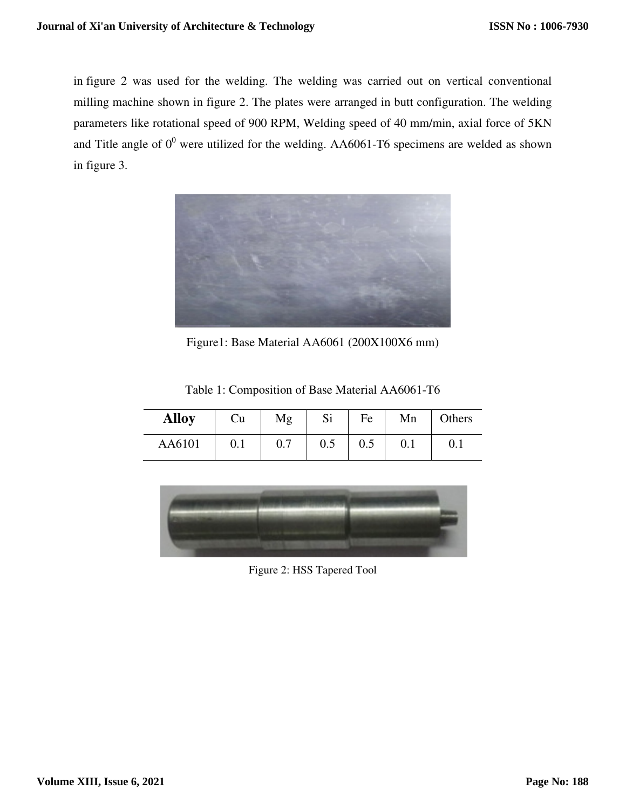in figure 2 was used for the welding. The welding was carried out on vertical conventional milling machine shown in figure 2. The plates were arranged in butt configuration. The welding parameters like rotational speed of 900 RPM, Welding speed of 40 mm/min, axial force of 5KN and Title angle of  $0^0$  were utilized for the welding. AA6061-T6 specimens are welded as shown in figure 3.



Figure1: Base Material AA6061 (200X100X6 mm)

| <b>Alloy</b> | Cu        | Mg   | Si      | Fe  | Mn | Others |
|--------------|-----------|------|---------|-----|----|--------|
| AA6101       | $\rm 0.1$ | ∪. ≀ | $0.5\,$ | 0.5 |    |        |

Table 1: Composition of Base Material AA6061-T6



Figure 2: HSS Tapered Tool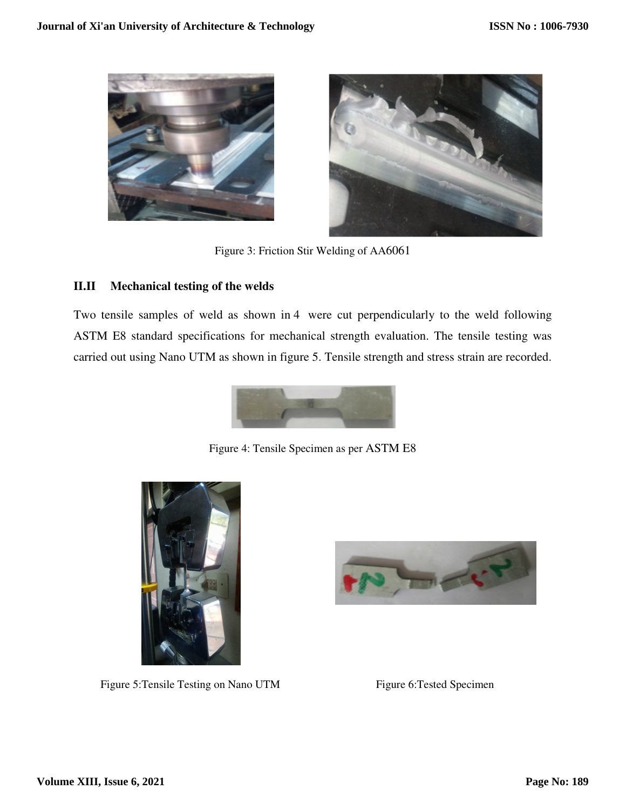



Figure 3: Friction Stir Welding of AA6061

#### **II.II Mechanical testing of the welds**

Two tensile samples of weld as shown in 4 were cut perpendicularly to the weld following ASTM E8 standard specifications for mechanical strength evaluation. The tensile testing was carried out using Nano UTM as shown in figure 5. Tensile strength and stress strain are recorded.



Figure 4: Tensile Specimen as per ASTM E8



Figure 5: Tensile Testing on Nano UTM Figure 6: Tested Specimen

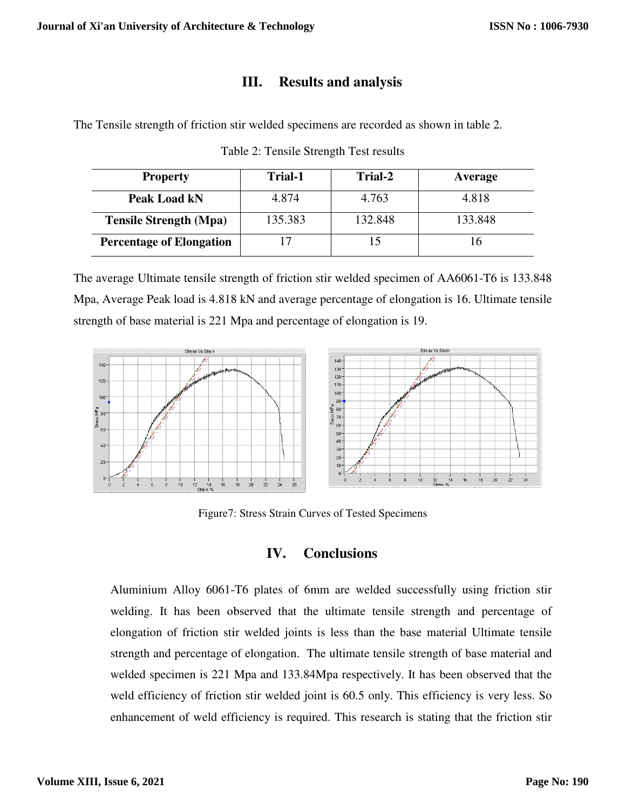### **III. Results and analysis**

The Tensile strength of friction stir welded specimens are recorded as shown in table 2 2.

| <b>Property</b>                 | <b>Trial-1</b> | Trial-2 | Average |
|---------------------------------|----------------|---------|---------|
| Peak Load kN                    | 4.874          | 4.763   | 4.818   |
| <b>Tensile Strength (Mpa)</b>   | 135.383        | 132.848 | 133.848 |
| <b>Percentage of Elongation</b> | 17             | 15      | 16      |

Table 2: Tensile Strength Test results

The average Ultimate tensile strength of friction stir welded specimen of AA6061-T6 is 133.848 Mpa, Average Peak load is 4.818 kN and average percentage of elongation is 16. Ultimate tensile strength of base material is 221 Mpa and percentage of elongation is 19.



Figure7: Stress Strain Curves of Tested Specimens

### **IV. Conclusions**

Aluminium Alloy 6061-T6 plates of 6mm are welded successfully using friction stir welding. It has been observed that the ultimate tensile strength and percentage of elongation of friction stir welded joints is less than the base material Ultimate tensile strength and percentage of elongation. The ultimate tensile strength of base material welded specimen is 221 Mpa and 133.84Mpa respectively. It has been observed that the weld efficiency of friction stir welded joint is 60.5 only. This efficiency is very less. So enhancement of weld efficiency is required. This research is stating that the friction stir plates of 6mm are welded successfully using friction stir<br>ved that the ultimate tensile strength and percentage of<br>elded joints is less than the base material Ultimate tensile<br>ongation. The ultimate tensile strength of bas